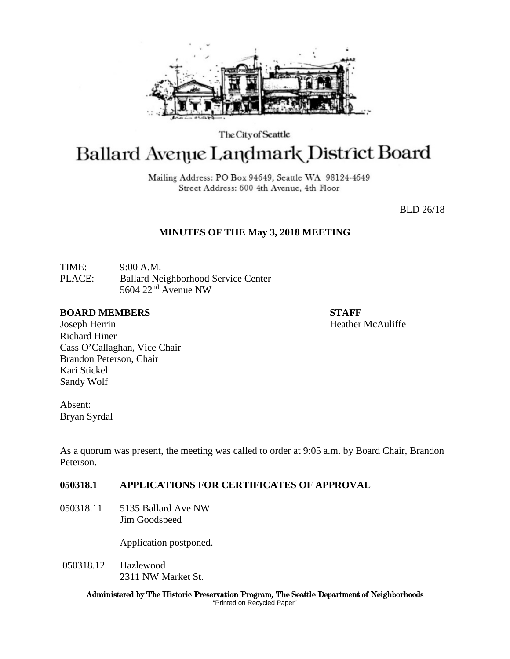

The City of Seattle

# Ballard Avenue Landmark District Board

Mailing Address: PO Box 94649, Seattle WA 98124-4649 Street Address: 600 4th Avenue, 4th Floor

BLD 26/18

## **MINUTES OF THE May 3, 2018 MEETING**

TIME: 9:00 A.M. PLACE: Ballard Neighborhood Service Center 5604 22nd Avenue NW

#### **BOARD MEMBERS STAFF**

Joseph Herrin **Heather McAuliffe Heather McAuliffe** Richard Hiner Cass O'Callaghan, Vice Chair Brandon Peterson, Chair Kari Stickel Sandy Wolf

Absent: Bryan Syrdal

As a quorum was present, the meeting was called to order at 9:05 a.m. by Board Chair, Brandon Peterson.

## **050318.1 APPLICATIONS FOR CERTIFICATES OF APPROVAL**

050318.11 5135 Ballard Ave NW Jim Goodspeed

Application postponed.

050318.12 Hazlewood 2311 NW Market St.

> Administered by The Historic Preservation Program, The Seattle Department of Neighborhoods "Printed on Recycled Paper"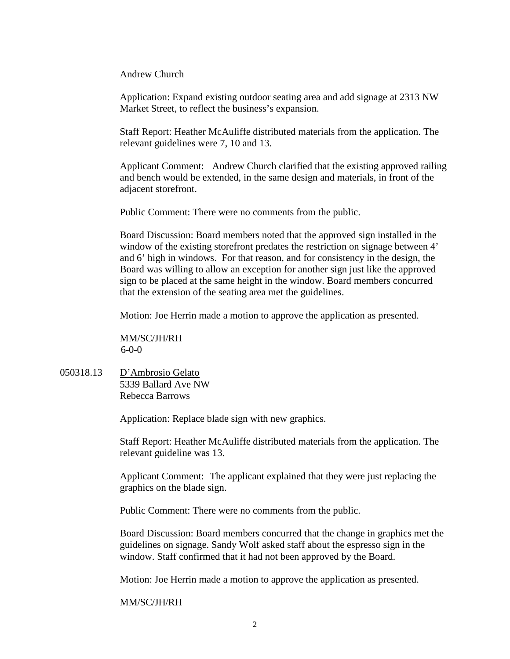Andrew Church

Application: Expand existing outdoor seating area and add signage at 2313 NW Market Street, to reflect the business's expansion.

Staff Report: Heather McAuliffe distributed materials from the application. The relevant guidelines were 7, 10 and 13.

Applicant Comment: Andrew Church clarified that the existing approved railing and bench would be extended, in the same design and materials, in front of the adjacent storefront.

Public Comment: There were no comments from the public.

Board Discussion: Board members noted that the approved sign installed in the window of the existing storefront predates the restriction on signage between 4' and 6' high in windows. For that reason, and for consistency in the design, the Board was willing to allow an exception for another sign just like the approved sign to be placed at the same height in the window. Board members concurred that the extension of the seating area met the guidelines.

Motion: Joe Herrin made a motion to approve the application as presented.

MM/SC/JH/RH 6-0-0

050318.13 D'Ambrosio Gelato 5339 Ballard Ave NW Rebecca Barrows

Application: Replace blade sign with new graphics.

Staff Report: Heather McAuliffe distributed materials from the application. The relevant guideline was 13.

Applicant Comment: The applicant explained that they were just replacing the graphics on the blade sign.

Public Comment: There were no comments from the public.

Board Discussion: Board members concurred that the change in graphics met the guidelines on signage. Sandy Wolf asked staff about the espresso sign in the window. Staff confirmed that it had not been approved by the Board.

Motion: Joe Herrin made a motion to approve the application as presented.

## MM/SC/JH/RH